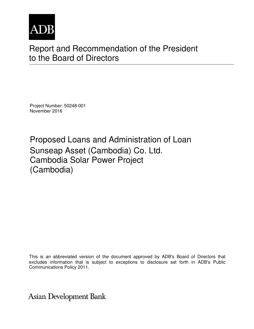

# Report and Recommendation of the President to the Board of Directors

Project Number: 50248-001 November 2016

Proposed Loans and Administration of Loan Sunseap Asset (Cambodia) Co. Ltd. Cambodia Solar Power Project (Cambodia)

This is an abbreviated version of the document approved by ADB's Board of Directors that excludes information that is subject to exceptions to disclosure set forth in ADB's Public Communications Policy 2011.

**Asian Development Bank**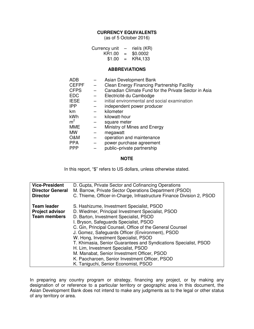#### **CURRENCY EQUIVALENTS**

(as of 5 October 2016)

| Currency unit | -   | riel/s (KR) |
|---------------|-----|-------------|
| KR1.00        | $=$ | \$0.0002    |
| \$1.00        | $=$ | KR4,133     |

#### **ABBREVIATIONS**

| <b>ADB</b>     | Asian Development Bank                               |
|----------------|------------------------------------------------------|
| <b>CEFPF</b>   | Clean Energy Financing Partnership Facility          |
| <b>CFPS</b>    | Canadian Climate Fund for the Private Sector in Asia |
| <b>EDC</b>     | Electricité du Cambodge                              |
| <b>IESE</b>    | initial environmental and social examination         |
| <b>IPP</b>     | independent power producer                           |
| km             | kilometer                                            |
| kWh            | kilowatt-hour                                        |
| m <sup>2</sup> | square meter                                         |
| <b>MME</b>     | Ministry of Mines and Energy                         |
| <b>MW</b>      | megawatt                                             |
| O&M            | operation and maintenance                            |
| <b>PPA</b>     | power purchase agreement                             |
| <b>PPP</b>     | public-private partnership                           |

#### **NOTE**

In this report, "\$" refers to US dollars, unless otherwise stated.

| <b>Vice-President</b>   | D. Gupta, Private Sector and Cofinancing Operations                   |  |  |
|-------------------------|-----------------------------------------------------------------------|--|--|
| <b>Director General</b> | M. Barrow, Private Sector Operations Department (PSOD)                |  |  |
| <b>Director</b>         | C. Thieme, Officer-in-Charge, Infrastructure Finance Division 2, PSOD |  |  |
| <b>Team leader</b>      | S. Hashizume, Investment Specialist, PSOD                             |  |  |
| <b>Project advisor</b>  | D. Wiedmer, Principal Investment Specialist, PSOD                     |  |  |
| <b>Team members</b>     | D. Barton, Investment Specialist, PSOD                                |  |  |
|                         | I. Bryson, Safeguards Specialist, PSOD                                |  |  |
|                         | C. Gin, Principal Counsel, Office of the General Counsel              |  |  |
|                         | J. Gomez, Safeguards Officer (Environment), PSOD                      |  |  |
|                         | W. Hong, Investment Specialist, PSOD                                  |  |  |
|                         | T. Khimasia, Senior Guarantees and Syndications Specialist, PSOD      |  |  |
|                         | H. Lim, Investment Specialist, PSOD                                   |  |  |
|                         | M. Manabat, Senior Investment Officer, PSOD                           |  |  |
|                         | K. Paocharoen, Senior Investment Officer, PSOD                        |  |  |
|                         | K. Taniguchi, Senior Economist, PSOD                                  |  |  |

In preparing any country program or strategy, financing any project, or by making any designation of or reference to a particular territory or geographic area in this document, the Asian Development Bank does not intend to make any judgments as to the legal or other status of any territory or area.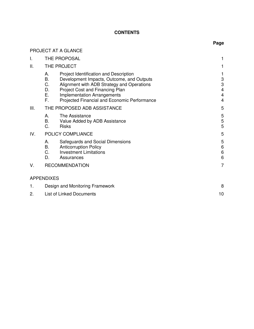#### **CONTENTS**

**Page** 

# PROJECT AT A GLANCE I. THE PROPOSAL **1** II. THE PROJECT And the state of the state of the state of the state of the state of the state of the state of the state of the state of the state of the state of the state of the state of the state of the state of the sta A. Project Identification and Description 1 B. Development Impacts, Outcome, and Outputs 3 C. Alignment with ADB Strategy and Operations 3<br>
D. Proiect Cost and Financing Plan D. Project Cost and Financing Plan<br>
E. Implementation Arrangements<br>
4 Implementation Arrangements F. Projected Financial and Economic Performance 4 III. THE PROPOSED ADB ASSISTANCE **FOUR SERVICE ASSISTANCE** 5 A. The Assistance 5<br>
B. Value Added by ADB Assistance 5 B. Value Added by ADB Assistance<br>C. Risks 5 C. Risks 5 IV. POLICY COMPLIANCE 5 A. Safeguards and Social Dimensions<br>
B. Anticorruption Policy<br>
6 B. Anticorruption Policy 6<br>C. Investment Limitations 6 C. Investment Limitations 6<br>
D. Assurances 6 Assurances V. RECOMMENDATION 7 APPENDIXES 1. Design and Monitoring Framework 8 2. List of Linked Documents 10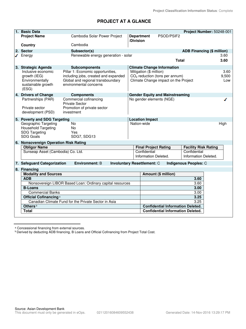# **PROJECT AT A GLANCE**

| 1. Basic Data                                      |                                                             |                   |                         |                                          | Project Number: 50248-001         |       |
|----------------------------------------------------|-------------------------------------------------------------|-------------------|-------------------------|------------------------------------------|-----------------------------------|-------|
| <b>Project Name</b>                                | Cambodia Solar Power Project                                | <b>Department</b> |                         | PSOD/PSIF2                               |                                   |       |
|                                                    |                                                             | /Division         |                         |                                          |                                   |       |
| Country                                            | Cambodia                                                    |                   |                         |                                          |                                   |       |
| 2. Sector                                          | Subsector(s)                                                |                   |                         |                                          | <b>ADB Financing (\$ million)</b> |       |
| $\sqrt{\phantom{a}}$ Energy                        | Renewable energy generation - solar                         |                   |                         |                                          |                                   | 3.60  |
|                                                    |                                                             |                   |                         | <b>Total</b>                             |                                   | 3.60  |
| 3. Strategic Agenda                                | <b>Subcomponents</b>                                        |                   |                         | <b>Climate Change Information</b>        |                                   |       |
| Inclusive economic                                 | Pillar 1: Economic opportunities,                           |                   | Mitigation (\$ million) |                                          |                                   | 3.60  |
| growth (IEG)                                       | including jobs, created and expanded                        |                   |                         | $CO2$ reduction (tons per annum)         |                                   | 9,500 |
| Environmentally<br>sustainable growth              | Global and regional transboundary<br>environmental concerns |                   |                         | Climate Change impact on the Project     |                                   | Low   |
| (ESG)                                              |                                                             |                   |                         |                                          |                                   |       |
| 4. Drivers of Change                               | <b>Components</b>                                           |                   |                         | <b>Gender Equity and Mainstreaming</b>   |                                   |       |
| Partnerships (PAR)                                 | Commercial cofinancing                                      |                   |                         | No gender elements (NGE)                 |                                   |       |
|                                                    | <b>Private Sector</b>                                       |                   |                         |                                          |                                   |       |
| Private sector                                     | Promotion of private sector                                 |                   |                         |                                          |                                   |       |
| development (PSD)                                  | investment                                                  |                   |                         |                                          |                                   |       |
| 5. Poverty and SDG Targeting                       |                                                             |                   | <b>Location Impact</b>  |                                          |                                   |       |
| Geographic Targeting                               | <b>No</b>                                                   |                   | Nation-wide             |                                          |                                   | High  |
| <b>Household Targeting</b><br><b>SDG Targeting</b> | <b>No</b><br>Yes                                            |                   |                         |                                          |                                   |       |
| SDG Goals                                          | SDG7, SDG13                                                 |                   |                         |                                          |                                   |       |
| 6. Nonsovereign Operation Risk Rating              |                                                             |                   |                         |                                          |                                   |       |
| <b>Obligor Name</b>                                |                                                             |                   |                         | <b>Final Project Rating</b>              | <b>Facility Risk Rating</b>       |       |
| Sunseap Asset (Cambodia) Co. Ltd.                  |                                                             |                   | Confidential            |                                          | Confidential                      |       |
|                                                    |                                                             |                   | Information Deleted.    |                                          | Information Deleted.              |       |
| 7. Safeguard Categorization                        | <b>Environment: B</b><br><b>Involuntary Resettlement: C</b> |                   |                         |                                          | Indigenous Peoples: C             |       |
| 8. Financing                                       |                                                             |                   |                         |                                          |                                   |       |
| <b>Modality and Sources</b>                        |                                                             |                   |                         | Amount (\$ million)                      |                                   |       |
| <b>ADB</b>                                         |                                                             |                   |                         |                                          | 3.60                              |       |
|                                                    | Nonsovereign LIBOR Based Loan: Ordinary capital resources   |                   |                         |                                          | 3.60                              |       |
| <b>B-Loans</b>                                     |                                                             |                   |                         |                                          | 3.00                              |       |
| <b>Commercial Banks</b>                            |                                                             |                   |                         |                                          | 3.00                              |       |
| Official Cofinancing <sup>a</sup>                  |                                                             |                   |                         |                                          | 3.25                              |       |
|                                                    | Canadian Climate Fund for the Private Sector in Asia        |                   |                         |                                          | 3.25                              |       |
| Others <sup>b</sup>                                |                                                             |                   |                         | <b>Confidential Information Deleted.</b> |                                   |       |
| <b>Total</b>                                       |                                                             |                   |                         | <b>Confidential Information Deleted.</b> |                                   |       |

a Concessional financing from external sources.

**b Derived by deducting ADB financing, B Loans and Official Cofinancing from Project Total Cost.**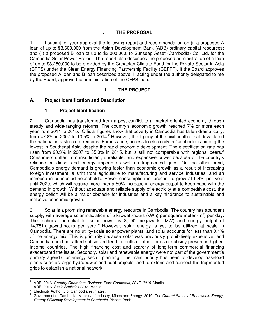# **I. THE PROPOSAL**

1. I submit for your approval the following report and recommendation on (i) a proposed A loan of up to \$3,600,000 from the Asian Development Bank (ADB) ordinary capital resources; and (ii) a proposed B loan of up to \$3,000,000, to Sunseap Asset (Cambodia) Co. Ltd. for the Cambodia Solar Power Project. The report also describes the proposed administration of a loan of up to \$3,250,000 to be provided by the Canadian Climate Fund for the Private Sector in Asia (CFPS) under the Clean Energy Financing Partnership Facility (CEFPF). If the Board approves the proposed A loan and B loan described above, I, acting under the authority delegated to me by the Board, approve the administration of the CFPS loan.

## **II. THE PROJECT**

## **A. Project Identification and Description**

## **1. Project Identification**

2. Cambodia has transformed from a post-conflict to a market-oriented economy through steady and wide-ranging reforms. The country's economic growth reached 7% or more each year from 2011 to 2015.<sup>1</sup> Official figures show that poverty in Cambodia has fallen dramatically, from 47.8% in 2007 to 13.5% in 2014.<sup>2</sup> However, the legacy of the civil conflict that devastated the national infrastructure remains. For instance, access to electricity in Cambodia is among the lowest in Southeast Asia, despite the rapid economic development. The electrification rate has risen from 20.3% in 2007 to 55.0% in 2015, but is still not comparable with regional peers.<sup>3</sup> Consumers suffer from insufficient, unreliable, and expensive power because of the country's reliance on diesel and energy imports as well as fragmented grids. On the other hand, Cambodia's energy demand is growing faster than economic growth as a result of increasing foreign investment, a shift from agriculture to manufacturing and service industries, and an increase in connected households. Power consumption is forecast to grow at 9.4% per year until 2020, which will require more than a 50% increase in energy output to keep pace with the demand in growth. Without adequate and reliable supply of electricity at a competitive cost, the energy deficit will be a major obstacle for industries and a key hindrance to sustainable and inclusive economic growth.

3. Solar is a promising renewable energy resource in Cambodia. The country has abundant supply, with average solar irradiation of 5 kilowatt-hours (kWh) per square meter (m<sup>2</sup>) per day. The technical potential for solar power is 8,100 megawatts (MW) and energy output of 14,781 gigawatt-hours per year.<sup>4</sup> However, solar energy is yet to be utilized at scale in Cambodia. There are no utility-scale solar power plants, and solar accounts for less than 0.1% of the energy mix. This is primarily because solar was previously prohibitively expensive, and Cambodia could not afford subsidized feed-in tariffs or other forms of subsidy present in higherincome countries. The high financing cost and scarcity of long-term commercial financing exacerbated the issue. Secondly, solar and renewable energy were not part of the government's primary agenda for energy sector planning. The main priority has been to develop baseload plants such as large hydropower and coal projects, and to extend and connect the fragmented grids to establish a national network.

 $\overline{a}$ 1 ADB. 2016. *Country Operations Business Plan: Cambodia, 2017–2019*. Manila. 2

ADB. 2016. *Basic Statistics 2016*. Manila.

<sup>3</sup> Electricity Authority of Cambodia estimates.

<sup>4</sup> Government of Cambodia, Ministry of Industry, Mines and Energy. 2010. *The Current Status of Renewable Energy, Energy Efficiency Development in Cambodia*. Phnom Penh.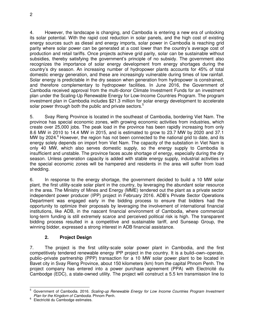4. However, the landscape is changing, and Cambodia is entering a new era of unlocking its solar potential. With the rapid cost reduction in solar panels, and the high cost of existing energy sources such as diesel and energy imports, solar power in Cambodia is reaching grid parity where solar power can be generated at a cost lower than the country's average cost of production and retail tariffs. Once projects achieve grid parity, solar can be sustainable without subsidies, thereby satisfying the government's principle of no subsidy. The government also recognizes the importance of solar energy development from energy shortages during the country's dry season. An increasing number of hydropower plants accounts for 45% of total domestic energy generation, and these are increasingly vulnerable during times of low rainfall. Solar energy is predictable in the dry season when generation from hydropower is constrained, and therefore complementary to hydropower facilities. In June 2016, the Government of Cambodia received approval from the multi-donor Climate Investment Funds for an investment plan under the Scaling-Up Renewable Energy for Low-Income Countries Program. The program investment plan in Cambodia includes \$21.3 million for solar energy development to accelerate solar power through both the public and private sectors.<sup>5</sup>

5. Svay Rieng Province is located in the southeast of Cambodia, bordering Viet Nam. The province has special economic zones, with growing economic activities from industries, which create over 25,000 jobs. The peak load in the province has been rapidly increasing from only 8.6 MW in 2010 to 14.4 MW in 2015, and is estimated to grow to 23.7 MW by 2020 and 37.1 MW by 2024.<sup>6</sup> However, the region has not been connected to the national grid to date, and its energy solely depends on import from Viet Nam. The capacity of the substation in Viet Nam is only 40 MW, which also serves domestic supply, so the energy supply to Cambodia is insufficient and unstable. The province faces acute shortage of energy, especially during the dry season. Unless generation capacity is added with stable energy supply, industrial activities in the special economic zones will be hampered and residents in the area will suffer from load shedding.

6. In response to the energy shortage, the government decided to build a 10 MW solar plant, the first utility-scale solar plant in the country, by leveraging the abundant solar resource in the area. The Ministry of Mines and Energy (MME) tendered out the plant as a private sector independent power producer (IPP) project in February 2016. ADB's Private Sector Operations Department was engaged early in the bidding process to ensure that bidders had the opportunity to optimize their proposals by leveraging the involvement of international financial institutions, like ADB, in the nascent financial environment of Cambodia, where commercial long-term funding is still extremely scarce and perceived political risk is high. The transparent bidding process resulted in a competitive and sustainable tariff, and Sunseap Group, the winning bidder, expressed a strong interest in ADB financial assistance.

# **2. Project Design**

7. The project is the first utility-scale solar power plant in Cambodia, and the first competitively tendered renewable energy IPP project in the country. It is a build–own–operate, public–private partnership (PPP) transaction for a 10 MW solar power plant to be located in Bavet city in Svay Rieng Province, about 150 kilometers (km) from the capital Phnom Penh. The project company has entered into a power purchase agreement (PPA) with Electricité du Cambodge (EDC), a state-owned utility. The project will construct a 5.5 km transmission line to

 $\overline{a}$ 5 Government of Cambodia. 2016. *Scaling-up Renewable Energy for Low Income Countries Program Investment*  **Plan for the Kingdom of Cambodia. Phnom Penh.** 

<sup>6</sup> Electricité du Cambodge estimates.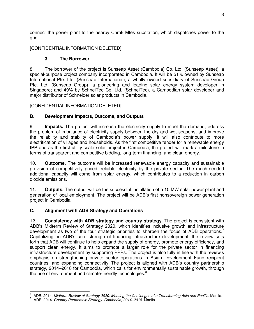connect the power plant to the nearby Chrak Mtes substation, which dispatches power to the grid.

[CONFIDENTIAL INFORMATION DELETED]

# **3. The Borrower**

8. The borrower of the project is Sunseap Asset (Cambodia) Co. Ltd. (Sunseap Asset), a special-purpose project company incorporated in Cambodia. It will be 51% owned by Sunseap International Pte. Ltd. (Sunseap International), a wholly owned subsidiary of Sunseap Group Pte. Ltd. (Sunseap Group), a pioneering and leading solar energy system developer in Singapore; and 49% by SchneiTec Co. Ltd. (SchneiTec), a Cambodian solar developer and major distributor of Schneider solar products in Cambodia.

[CONFIDENTIAL INFORMATION DELETED]

# **B. Development Impacts, Outcome, and Outputs**

9. **Impacts.** The project will increase the electricity supply to meet the demand, address the problem of imbalance of electricity supply between the dry and wet seasons, and improve the reliability and stability of Cambodia's power supply. It will also contribute to more electrification of villages and households. As the first competitive tender for a renewable energy IPP and as the first utility-scale solar project in Cambodia, the project will mark a milestone in terms of transparent and competitive bidding, long-term financing, and clean energy.

10. **Outcome.** The outcome will be increased renewable energy capacity and sustainable provision of competitively priced, reliable electricity by the private sector. The much-needed additional capacity will come from solar energy, which contributes to a reduction in carbon dioxide emissions.

11. **Outputs.** The output will be the successful installation of a 10 MW solar power plant and generation of local employment. The project will be ADB's first nonsovereign power generation project in Cambodia.

# **C. Alignment with ADB Strategy and Operations**

12. **Consistency with ADB strategy and country strategy.** The project is consistent with ADB's Midterm Review of Strategy 2020, which identifies inclusive growth and infrastructure development as two of the four strategic priorities to sharpen the focus of ADB operations.<sup>7</sup> Capitalizing on ADB's core strength of financing infrastructure development, the review sets forth that ADB will continue to help expand the supply of energy, promote energy efficiency, and support clean energy. It aims to promote a larger role for the private sector in financing infrastructure development by supporting PPPs. The project is also fully in line with the review's emphasis on strengthening private sector operations in Asian Development Fund recipient countries, and expanding connectivity. The project is aligned with ADB's country partnership strategy, 2014–2018 for Cambodia, which calls for environmentally sustainable growth, through the use of environment and climate-friendly technologies.<sup>8</sup>

 $\overline{a}$ 7 ADB. 2014. *Midterm Review of Strategy 2020: Meeting the Challenges of a Transforming Asia and Pacific*. Manila.

<sup>8</sup> ADB. 2014. *Country Partnership Strategy: Cambodia, 2014–2018*. Manila.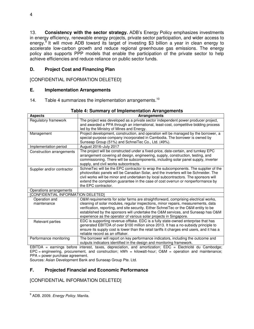13. **Consistency with the sector strategy.** ADB's Energy Policy emphasizes investments in energy efficiency, renewable energy projects, private sector participation, and wider access to energy.<sup>9</sup> It will move ADB toward its target of investing \$3 billion a year in clean energy to accelerate low-carbon growth and reduce regional greenhouse gas emissions. The energy policy also supports PPP models that enable the participation of the private sector to help achieve efficiencies and reduce reliance on public sector funds.

# **D. Project Cost and Financing Plan**

[CONFIDENTIAL INFORMATION DELETED]

# **E. Implementation Arrangements**

14. Table 4 summarizes the implementation arrangements.<sup>10</sup>

| <b>Aspects</b>                     | <b>Arrangements</b>                                                                        |  |  |  |
|------------------------------------|--------------------------------------------------------------------------------------------|--|--|--|
| Regulatory framework               | The project was developed as a private sector independent power producer project,          |  |  |  |
|                                    | and awarded a PPA through an international, least-cost, competitive bidding process        |  |  |  |
|                                    | led by the Ministry of Mines and Energy.                                                   |  |  |  |
| Management                         | Project development, construction, and operation will be managed by the borrower, a        |  |  |  |
|                                    | special-purpose company incorporated in Cambodia. The borrower is owned by                 |  |  |  |
|                                    | Sunseap Group (51%) and SchneiTec Co., Ltd. (49%).                                         |  |  |  |
| Implementation period              | August 2016-July 2017                                                                      |  |  |  |
| Construction arrangements          | The project will be constructed under a fixed-price, date-certain, and turnkey EPC         |  |  |  |
|                                    | arrangement covering all design, engineering, supply, construction, testing, and           |  |  |  |
|                                    | commissioning. There will be subcomponents, including solar panel supply, inverter         |  |  |  |
|                                    | supply, and civil works subcontracts.                                                      |  |  |  |
| Supplier and/or contractor         | SchneiTec will be the EPC contractor to wrap the subcomponents. The supplier of the        |  |  |  |
|                                    | photovoltaic panels will be Canadian Solar, and the inverters will be Schneider. The       |  |  |  |
|                                    | civil works will be minor and undertaken by local subcontractors. The sponsors will        |  |  |  |
|                                    | extend the completion guarantee in the case of cost overrun or nonperformance by           |  |  |  |
|                                    | the EPC contractor.                                                                        |  |  |  |
| Operations arrangements            |                                                                                            |  |  |  |
| [CONFIDENTIAL INFORMATION DELETED] |                                                                                            |  |  |  |
| Operation and                      | O&M requirements for solar farms are straightforward, comprising electrical works,         |  |  |  |
| maintenance                        | cleaning of solar modules, regular inspections, minor repairs, measurements, data          |  |  |  |
|                                    | verification, reporting, and site security. Either SchneiTec or the O&M entity to be       |  |  |  |
|                                    | established by the sponsors will undertake the O&M services, and Sunseap has O&M           |  |  |  |
|                                    | experience as the operator of various solar projects in Singapore.                         |  |  |  |
| Relevant parties                   | EDC is supporting revenue offtake. EDC is a fully state-owned enterprise that has          |  |  |  |
|                                    | generated EBITDA of over \$100 million since 2013. It has a no-subsidy principle to        |  |  |  |
|                                    | ensure its supply cost is lower than the retail tariffs it charges end users, and it has a |  |  |  |
|                                    | reliable record as an offtaker.                                                            |  |  |  |
| Performance monitoring             | The borrower will report on key performance indicators, including the outcome and          |  |  |  |
|                                    | outputs indicators identified in the design and monitoring framework.                      |  |  |  |

## **Table 4: Summary of Implementation Arrangements**

EBITDA = earnings before interest, taxes, depreciation, and amortization; EDC = Electricité du Cambodge; EPC = engineering, procurement, and construction; kWh = kilowatt-hour; O&M = operation and maintenance; PPA = power purchase agreement.

Sources: Asian Development Bank and Sunseap Group Pte. Ltd.

# **F. Projected Financial and Economic Performance**

[CONFIDENTIAL INFORMATION DELETED]

 9 ADB. 2009. *Energy Policy.* Manila.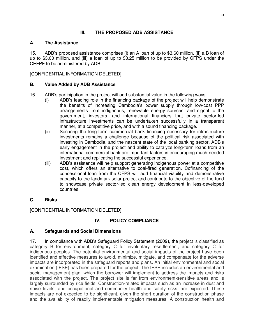# **III. THE PROPOSED ADB ASSISTANCE**

## **A. The Assistance**

15. ADB's proposed assistance comprises (i) an A loan of up to \$3.60 million, (ii) a B loan of up to \$3.00 million, and (iii) a loan of up to \$3.25 million to be provided by CFPS under the CEFPF to be administered by ADB.

[CONFIDENTIAL INFORMATION DELETED]

## **B. Value Added by ADB Assistance**

- 16. ADB's participation in the project will add substantial value in the following ways:
	- (i) ADB's leading role in the financing package of the project will help demonstrate the benefits of increasing Cambodia's power supply through low-cost PPP arrangements from indigenous, renewable energy sources; and signal to the government, investors, and international financiers that private sector-led infrastructure investments can be undertaken successfully in a transparent manner, at a competitive price, and with a sound financing package.
	- (ii) Securing the long-term commercial bank financing necessary for infrastructure investments remains a challenge because of the political risk associated with investing in Cambodia, and the nascent state of the local banking sector. ADB's early engagement in the project and ability to catalyze long-term loans from an international commercial bank are important factors in encouraging much-needed investment and replicating the successful experience.
	- (iii) ADB's assistance will help support generating indigenous power at a competitive cost, which offers an alternative to coal-fired generation. Cofinancing of the concessional loan from the CFPS will add financial viability and demonstrative capacity to the landmark solar project and contribute to the objective of the fund to showcase private sector-led clean energy development in less-developed countries.
- **C. Risks**

[CONFIDENTIAL INFORMATION DELETED]

# **IV. POLICY COMPLIANCE**

# **A. Safeguards and Social Dimensions**

17. In compliance with ADB's Safeguard Policy Statement (2009), the project is classified as category B for environment, category C for involuntary resettlement, and category C for indigenous peoples. The potential environmental and social impacts of the project have been identified and effective measures to avoid, minimize, mitigate, and compensate for the adverse impacts are incorporated in the safeguard reports and plans. An initial environmental and social examination (IESE) has been prepared for the project. The IESE includes an environmental and social management plan, which the borrower will implement to address the impacts and risks associated with the project. The project site is far from environment-sensitive areas and is largely surrounded by rice fields. Construction-related impacts such as an increase in dust and noise levels, and occupational and community health and safety risks, are expected. These impacts are not expected to be significant, given the short duration of the construction phase and the availability of readily implementable mitigation measures. A construction health and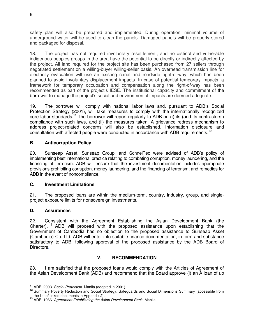safety plan will also be prepared and implemented. During operation, minimal volume of underground water will be used to clean the panels. Damaged panels will be properly stored and packaged for disposal.

18. The project has not required involuntary resettlement; and no distinct and vulnerable indigenous peoples groups in the area have the potential to be directly or indirectly affected by the project. All land required for the project site has been purchased from 27 sellers through negotiated settlement on a willing-buyer willing-seller basis. An overhead transmission line for electricity evacuation will use an existing canal and roadside right-of-way, which has been planned to avoid involuntary displacement impacts. In case of potential temporary impacts, a framework for temporary occupation and compensation along the right-of-way has been recommended as part of the project's IESE. The institutional capacity and commitment of the borrower to manage the project's social and environmental impacts are deemed adequate.

19. The borrower will comply with national labor laws and, pursuant to ADB's Social Protection Strategy (2001), will take measures to comply with the internationally recognized core labor standards.<sup>11</sup> The borrower will report regularly to ADB on (i) its (and its contractors') compliance with such laws, and (ii) the measures taken. A grievance redress mechanism to address project-related concerns will also be established. Information disclosure and consultation with affected people were conducted in accordance with ADB requirements.<sup>12</sup>

# **B. Anticorruption Policy**

20. Sunseap Asset, Sunseap Group, and SchneiTec were advised of ADB's policy of implementing best international practice relating to combating corruption, money laundering, and the financing of terrorism. ADB will ensure that the investment documentation includes appropriate provisions prohibiting corruption, money laundering, and the financing of terrorism; and remedies for ADB in the event of noncompliance.

# **C. Investment Limitations**

21. The proposed loans are within the medium-term, country, industry, group, and singleproject exposure limits for nonsovereign investments.

# **D. Assurances**

22. Consistent with the Agreement Establishing the Asian Development Bank (the Charter), <sup>13</sup> ADB will proceed with the proposed assistance upon establishing that the Government of Cambodia has no objection to the proposed assistance to Sunseap Asset (Cambodia) Co. Ltd. ADB will enter into suitable finance documentation, in form and substance satisfactory to ADB, following approval of the proposed assistance by the ADB Board of Directors.

# **V. RECOMMENDATION**

23. I am satisfied that the proposed loans would comply with the Articles of Agreement of the Asian Development Bank (ADB) and recommend that the Board approve (i) an A loan of up

 $\overline{a}$ <sup>11</sup> ADB. 2003. *Social Protection.* Manila (adopted in 2001).

<sup>&</sup>lt;sup>12</sup> Summary Poverty Reduction and Social Strategy; Safeguards and Social Dimensions Summary (accessible from the list of linked documents in Appendix 2).

<sup>13</sup> ADB. 1966. *Agreement Establishing the Asian Development Bank.* Manila.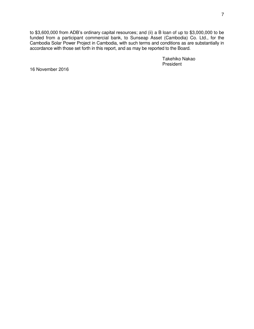to \$3,600,000 from ADB's ordinary capital resources; and (ii) a B loan of up to \$3,000,000 to be funded from a participant commercial bank, to Sunseap Asset (Cambodia) Co. Ltd., for the Cambodia Solar Power Project in Cambodia, with such terms and conditions as are substantially in accordance with those set forth in this report, and as may be reported to the Board.

> Takehiko Nakao President

16 November 2016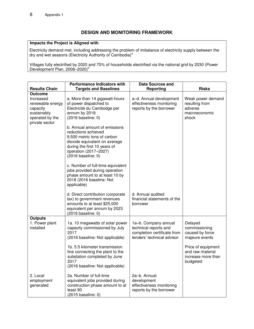# **DESIGN AND MONITORING FRAMEWORK**

#### **Impacts the Project is Aligned with**

Electricity demand met, including addressing the problem of imbalance of electricity supply between the dry and wet seasons (Electricity Authority of Cambodia)<sup>a</sup>

Villages fully electrified by 2020 and 70% of households electrified via the national grid by 2030 (Power Development Plan, 2008-2020)<sup>b</sup>

| <b>Results Chain</b>                                                                          | <b>Performance Indicators with</b><br><b>Targets and Baselines</b>                                                                                                                     | <b>Data Sources and</b><br>Reporting                                                                       | <b>Risks</b>                                                             |
|-----------------------------------------------------------------------------------------------|----------------------------------------------------------------------------------------------------------------------------------------------------------------------------------------|------------------------------------------------------------------------------------------------------------|--------------------------------------------------------------------------|
| <b>Outcome</b>                                                                                |                                                                                                                                                                                        |                                                                                                            |                                                                          |
| Increased<br>renewable energy<br>capacity<br>sustainably<br>operated by the<br>private sector | a. More than 14 gigawatt-hours<br>of power dispatched to<br>Electricité du Cambodge per<br>annum by 2018<br>(2016 baseline: 0)<br>b. Annual amount of emissions<br>reductions achieved | a-d. Annual development<br>effectiveness monitoring<br>reports by the borrower                             | Weak power demand<br>resulting from<br>adverse<br>macroeconomic<br>shock |
|                                                                                               | 9,500 metric tons of carbon<br>dioxide equivalent on average<br>during the first 10 years of<br>operation (2017-2027)<br>(2016 baseline: 0)                                            |                                                                                                            |                                                                          |
|                                                                                               | c. Number of full-time equivalent<br>jobs provided during operation<br>phase amount to at least 10 by<br>2018 (2016 baseline: Not<br>applicable)                                       |                                                                                                            |                                                                          |
|                                                                                               | d. Direct contribution (corporate<br>tax) to government revenues<br>amounts to at least \$25,000<br>equivalent per annum by 2023<br>(2016 baseline: 0)                                 | d. Annual audited<br>financial statements of the<br>borrower                                               |                                                                          |
| <b>Outputs</b>                                                                                |                                                                                                                                                                                        |                                                                                                            |                                                                          |
| 1. Power plant<br>installed                                                                   | 1a. 10 megawatts of solar power<br>capacity commissioned by July<br>2017<br>(2016 baseline: Not applicable)                                                                            | 1a-b. Company annual<br>technical reports and<br>completion certificate from<br>lenders' technical advisor | Delayed<br>commissioning<br>caused by force<br>majeure events            |
|                                                                                               | 1b. 5.5 kilometer transmission<br>line connecting the plant to the<br>substation completed by June<br>2017<br>(2016 baseline: Not applicable)                                          |                                                                                                            | Price of equipment<br>and raw material<br>increase more than<br>budgeted |
| 2. Local<br>employment<br>generated                                                           | 2a. Number of full-time<br>equivalent jobs provided during<br>construction phase amount to at<br>least 90<br>(2015 baseline: 0)                                                        | 2a-b. Annual<br>development<br>effectiveness monitoring<br>reports by the borrower                         |                                                                          |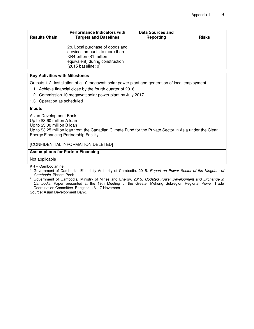| <b>Results Chain</b> | <b>Performance Indicators with</b><br><b>Targets and Baselines</b>                                                                                    | Data Sources and<br>Reporting | <b>Risks</b> |
|----------------------|-------------------------------------------------------------------------------------------------------------------------------------------------------|-------------------------------|--------------|
|                      | 2b. Local purchase of goods and<br>services amounts to more than<br>KR4 billion (\$1 million<br>equivalent) during construction<br>(2015 baseline: 0) |                               |              |

#### **Key Activities with Milestones**

Outputs 1-2: Installation of a 10 megawatt solar power plant and generation of local employment

- 1.1. Achieve financial close by the fourth quarter of 2016
- 1.2. Commission 10 megawatt solar power plant by July 2017
- 1.3. Operation as scheduled

#### **Inputs**

Asian Development Bank:

Up to \$3.60 million A loan

Up to \$3.00 million B loan

Up to \$3.25 million loan from the Canadian Climate Fund for the Private Sector in Asia under the Clean Energy Financing Partnership Facility

[CONFIDENTIAL INFORMATION DELETED]

#### **Assumptions for Partner Financing**

Not applicable

KR = Cambodian riel.

- <sup>a</sup> Government of Cambodia, Electricity Authority of Cambodia. 2015. *Report on Power Sector of the Kingdom of Cambodia*. Phnom Penh.
- b Government of Cambodia, Ministry of Mines and Energy. 2015. *Updated Power Development and Exchange in Cambodia*. Paper presented at the 19th Meeting of the Greater Mekong Subregion Regional Power Trade Coordination Committee. Bangkok. 16–17 November.

Source: Asian Development Bank.